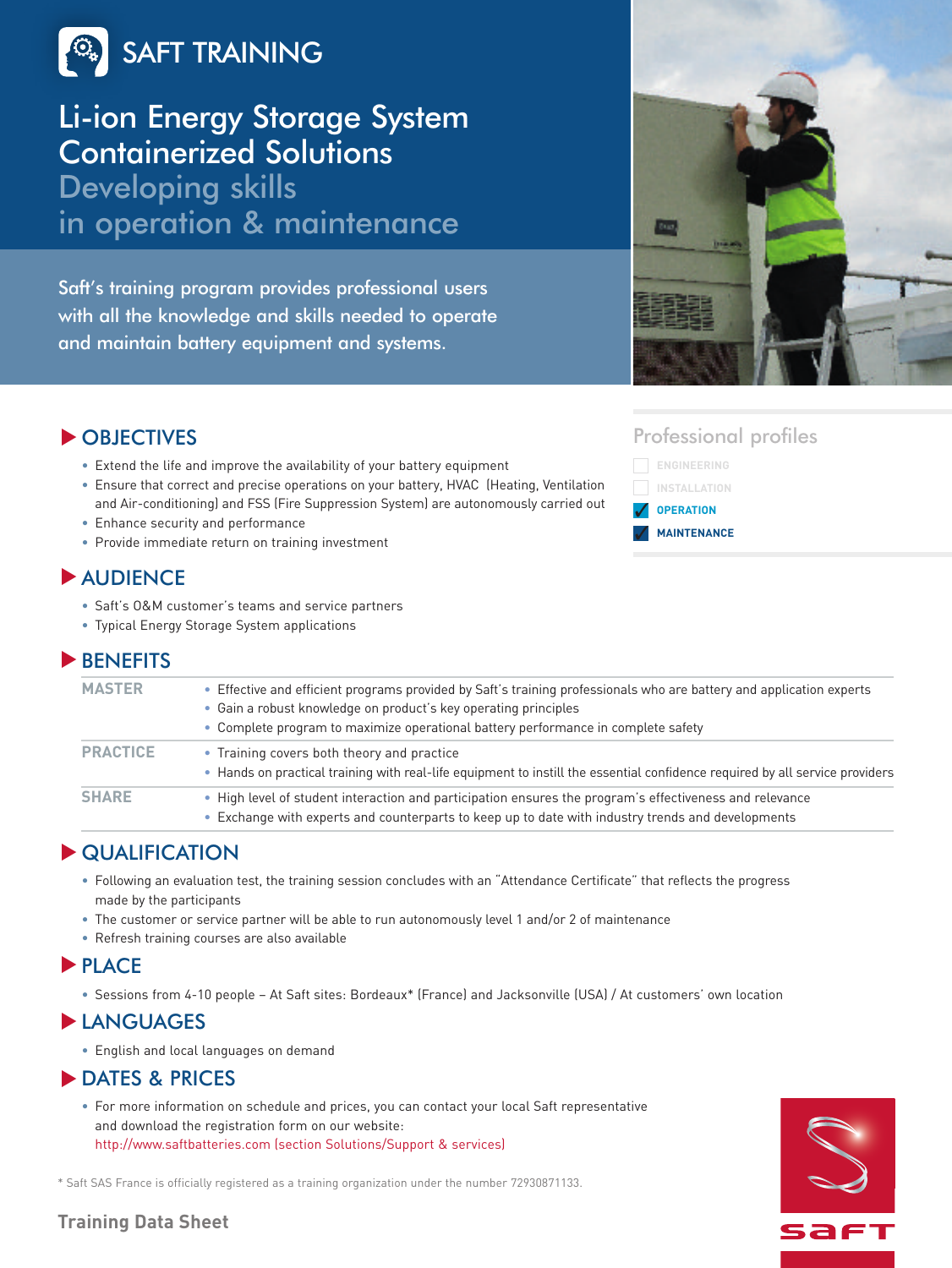

## Li-ion Energy Storage System Containerized Solutions

Developing skills in operation & maintenance

Saft's training program provides professional users with all the knowledge and skills needed to operate and maintain battery equipment and systems.



## OBJECTIVES **▼**

- Extend the life and improve the availability of your battery equipment
- Ensure that correct and precise operations on your battery, HVAC (Heating, Ventilation and Air-conditioning) and FSS (Fire Suppression System) are autonomously carried out
- Enhance security and performance
- Provide immediate return on training investment

## AUDIENCE **▼**

- Saft's O&M customer's teams and service partners
- Typical Energy Storage System applications

## BENEFITS **▼**

| <b>MASTER</b>   | • Effective and efficient programs provided by Saft's training professionals who are battery and application experts<br>• Gain a robust knowledge on product's key operating principles<br>• Complete program to maximize operational battery performance in complete safety |
|-----------------|------------------------------------------------------------------------------------------------------------------------------------------------------------------------------------------------------------------------------------------------------------------------------|
| <b>PRACTICE</b> | • Training covers both theory and practice<br>• Hands on practical training with real-life equipment to instill the essential confidence required by all service providers                                                                                                   |
| <b>SHARE</b>    | • High level of student interaction and participation ensures the program's effectiveness and relevance<br>• Exchange with experts and counterparts to keep up to date with industry trends and developments                                                                 |

## QUALIFICATION **▼**

- Following an evaluation test, the training session concludes with an "Attendance Certificate" that reflects the progress made by the participants
- The customer or service partner will be able to run autonomously level 1 and/or 2 of maintenance
- Refresh training courses are also available

### **PLACE**

• Sessions from 4-10 people – At Saft sites: Bordeaux\* (France) and Jacksonville (USA) / At customers' own location

## **▶** LANGUAGES

• English and local languages on demand

## **DATES & PRICES**

• For more information on schedule and prices, you can contact your local Saft representative and download the registration form on our website: http://www.saftbatteries.com (section Solutions/Support & services)

\* Saft SAS France is officially registered as a training organization under the number 72930871133.

## Professional profiles





### **Training Data Sheet**